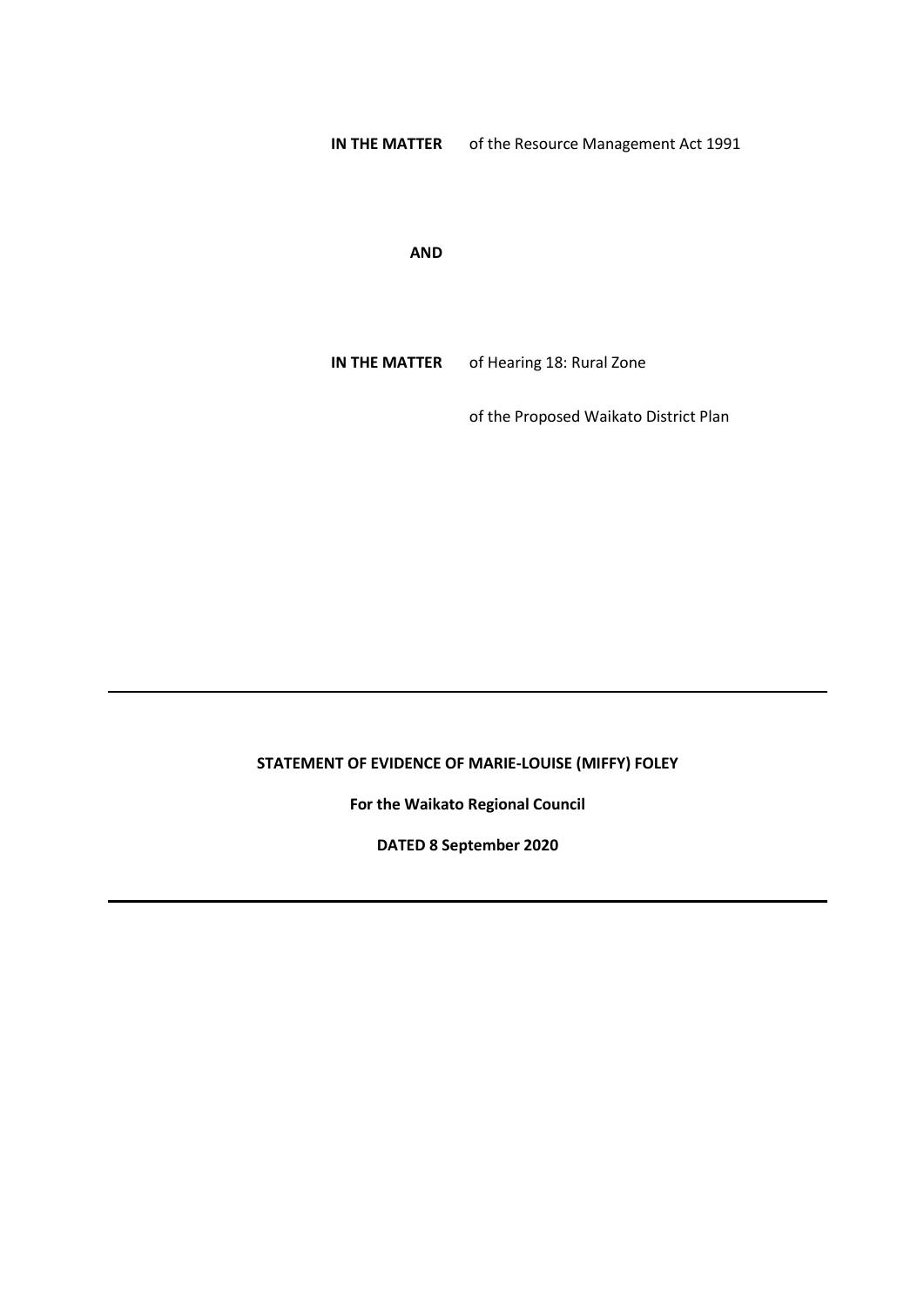**IN THE MATTER** of the Resource Management Act 1991

**AND**

**IN THE MATTER** of Hearing 18: Rural Zone

of the Proposed Waikato District Plan

# **STATEMENT OF EVIDENCE OF MARIE-LOUISE (MIFFY) FOLEY**

**For the Waikato Regional Council**

**DATED 8 September 2020**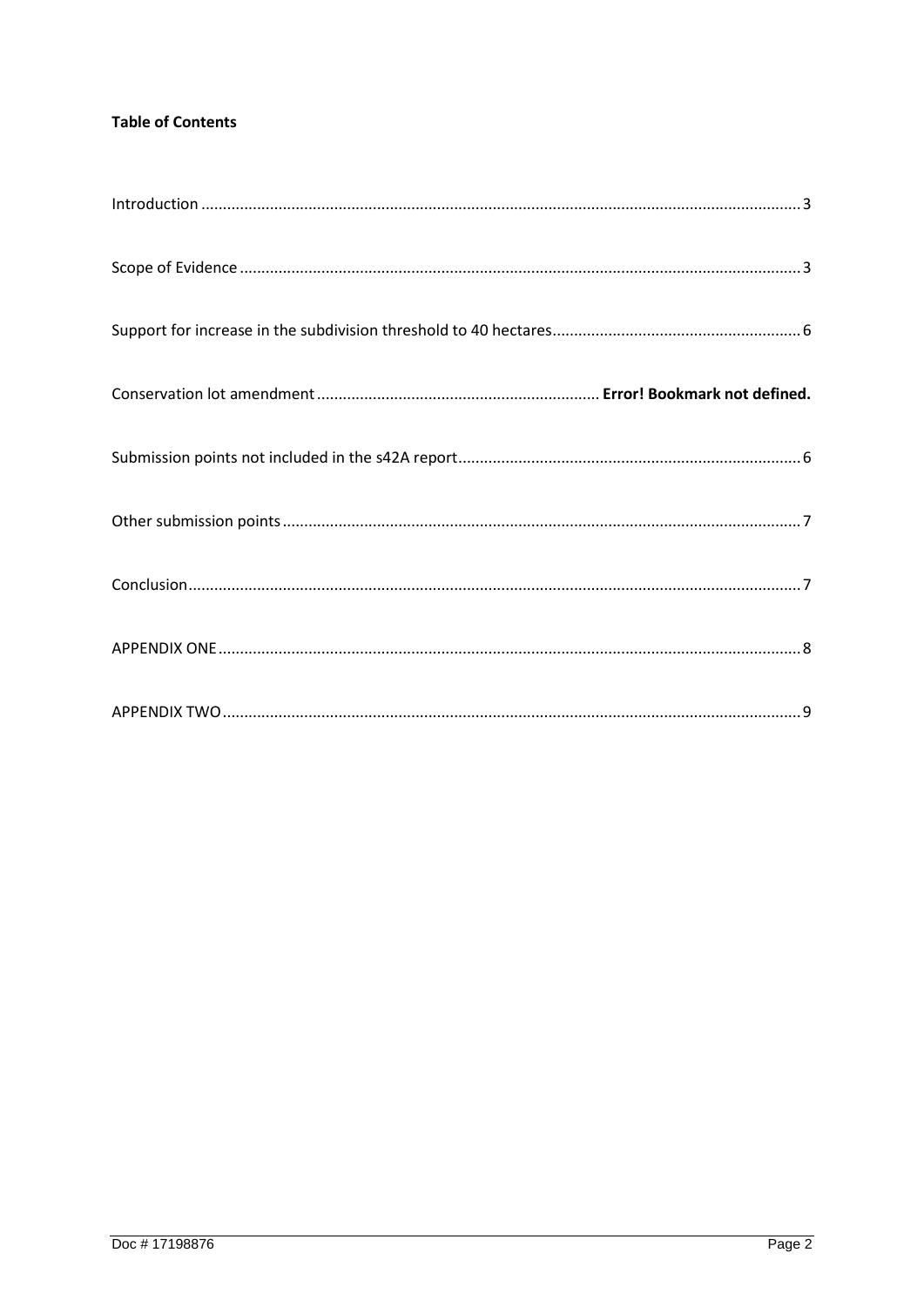## **Table of Contents**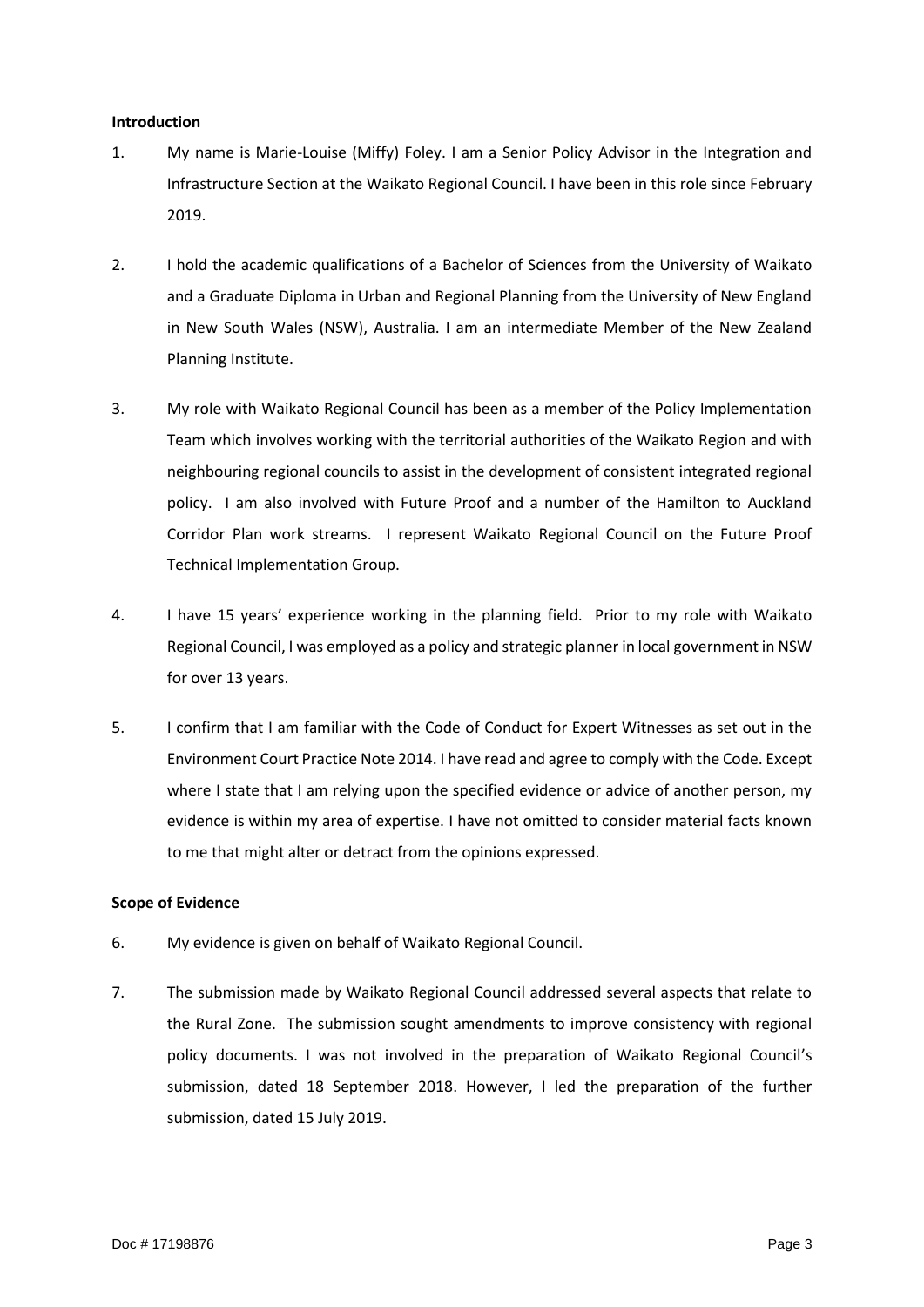#### <span id="page-2-0"></span>**Introduction**

- 1. My name is Marie-Louise (Miffy) Foley. I am a Senior Policy Advisor in the Integration and Infrastructure Section at the Waikato Regional Council. I have been in this role since February 2019.
- 2. I hold the academic qualifications of a Bachelor of Sciences from the University of Waikato and a Graduate Diploma in Urban and Regional Planning from the University of New England in New South Wales (NSW), Australia. I am an intermediate Member of the New Zealand Planning Institute.
- 3. My role with Waikato Regional Council has been as a member of the Policy Implementation Team which involves working with the territorial authorities of the Waikato Region and with neighbouring regional councils to assist in the development of consistent integrated regional policy. I am also involved with Future Proof and a number of the Hamilton to Auckland Corridor Plan work streams. I represent Waikato Regional Council on the Future Proof Technical Implementation Group.
- 4. I have 15 years' experience working in the planning field. Prior to my role with Waikato Regional Council, I was employed as a policy and strategic planner in local government in NSW for over 13 years.
- 5. I confirm that I am familiar with the Code of Conduct for Expert Witnesses as set out in the Environment Court Practice Note 2014. I have read and agree to comply with the Code. Except where I state that I am relying upon the specified evidence or advice of another person, my evidence is within my area of expertise. I have not omitted to consider material facts known to me that might alter or detract from the opinions expressed.

#### <span id="page-2-1"></span>**Scope of Evidence**

- 6. My evidence is given on behalf of Waikato Regional Council.
- 7. The submission made by Waikato Regional Council addressed several aspects that relate to the Rural Zone. The submission sought amendments to improve consistency with regional policy documents. I was not involved in the preparation of Waikato Regional Council's submission, dated 18 September 2018. However, I led the preparation of the further submission, dated 15 July 2019.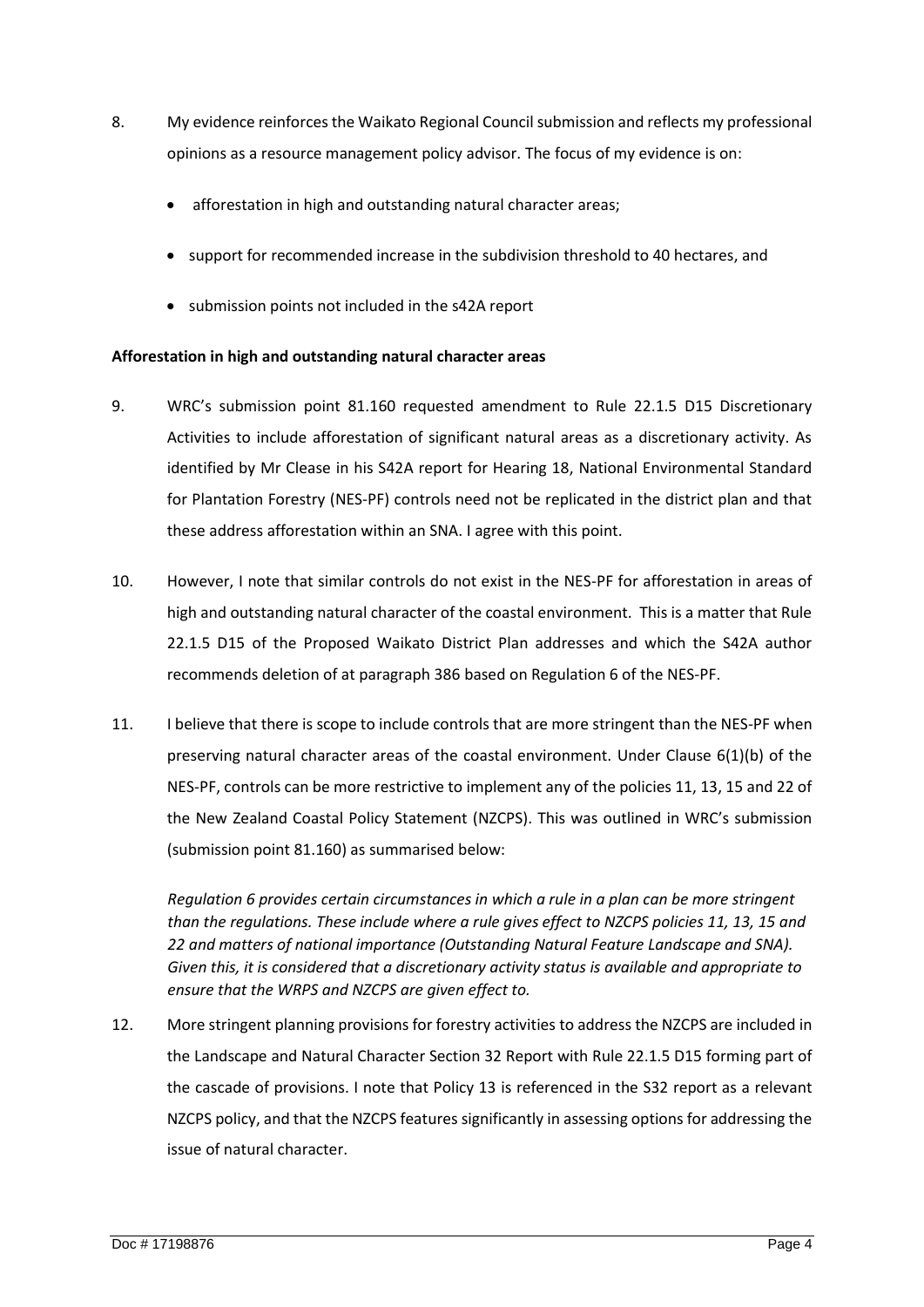- 8. My evidence reinforces the Waikato Regional Council submission and reflects my professional opinions as a resource management policy advisor. The focus of my evidence is on:
	- afforestation in high and outstanding natural character areas;
	- support for recommended increase in the subdivision threshold to 40 hectares, and
	- submission points not included in the s42A report

## **Afforestation in high and outstanding natural character areas**

- 9. WRC's submission point 81.160 requested amendment to Rule 22.1.5 D15 Discretionary Activities to include afforestation of significant natural areas as a discretionary activity. As identified by Mr Clease in his S42A report for Hearing 18, National Environmental Standard for Plantation Forestry (NES-PF) controls need not be replicated in the district plan and that these address afforestation within an SNA. I agree with this point.
- 10. However, I note that similar controls do not exist in the NES-PF for afforestation in areas of high and outstanding natural character of the coastal environment. This is a matter that Rule 22.1.5 D15 of the Proposed Waikato District Plan addresses and which the S42A author recommends deletion of at paragraph 386 based on Regulation 6 of the NES-PF.
- 11. I believe that there is scope to include controls that are more stringent than the NES-PF when preserving natural character areas of the coastal environment. Under Clause 6(1)(b) of the NES-PF, controls can be more restrictive to implement any of the policies 11, 13, 15 and 22 of the New Zealand Coastal Policy Statement (NZCPS). This was outlined in WRC's submission (submission point 81.160) as summarised below:

*Regulation 6 provides certain circumstances in which a rule in a plan can be more stringent than the regulations. These include where a rule gives effect to NZCPS policies 11, 13, 15 and 22 and matters of national importance (Outstanding Natural Feature Landscape and SNA). Given this, it is considered that a discretionary activity status is available and appropriate to ensure that the WRPS and NZCPS are given effect to.*

12. More stringent planning provisions for forestry activities to address the NZCPS are included in the Landscape and Natural Character Section 32 Report with Rule 22.1.5 D15 forming part of the cascade of provisions. I note that Policy 13 is referenced in the S32 report as a relevant NZCPS policy, and that the NZCPS features significantly in assessing options for addressing the issue of natural character.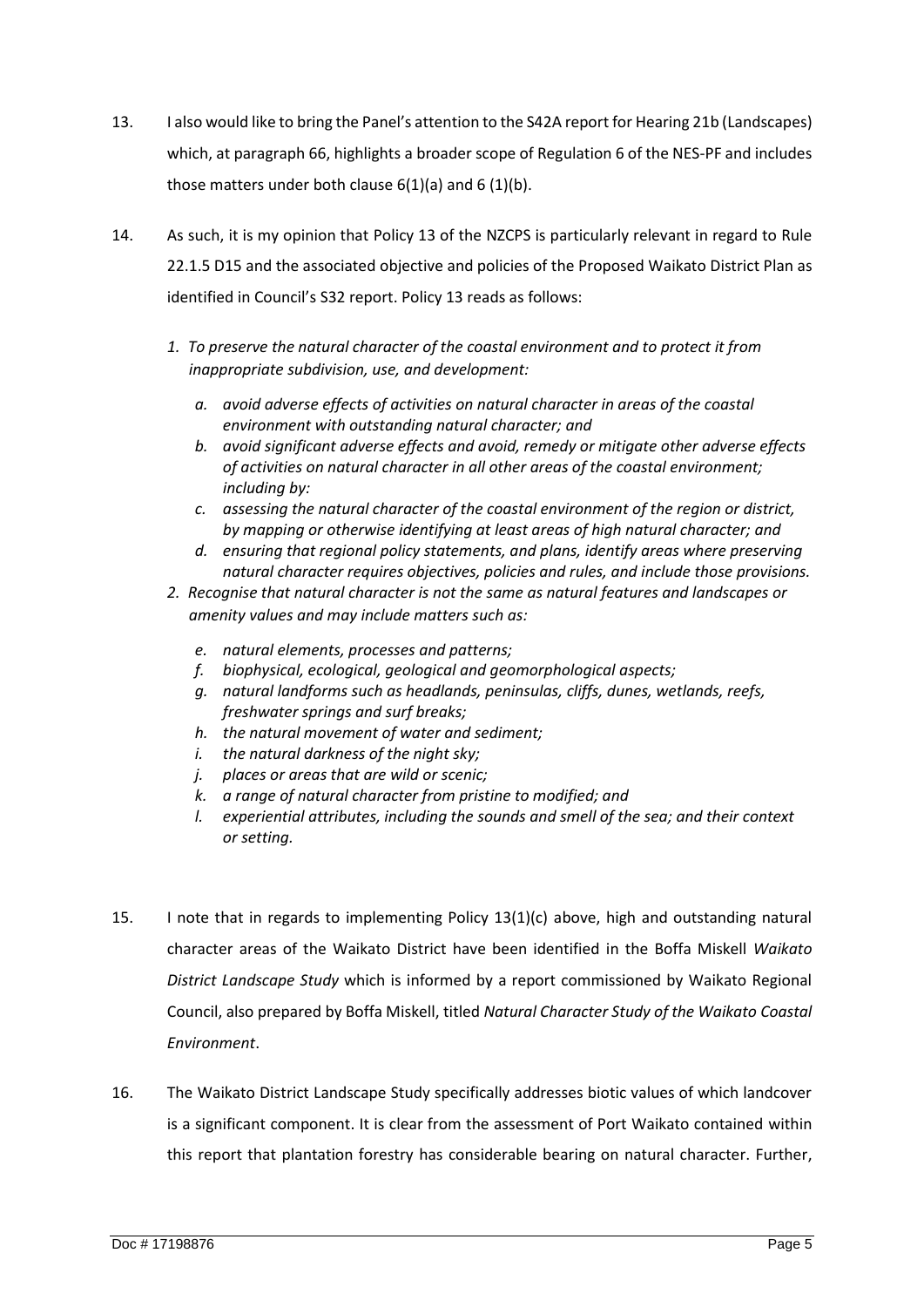- 13. I also would like to bring the Panel's attention to the S42A report for Hearing 21b (Landscapes) which, at paragraph 66, highlights a broader scope of Regulation 6 of the NES-PF and includes those matters under both clause  $6(1)(a)$  and  $6(1)(b)$ .
- 14. As such, it is my opinion that Policy 13 of the NZCPS is particularly relevant in regard to Rule 22.1.5 D15 and the associated objective and policies of the Proposed Waikato District Plan as identified in Council's S32 report. Policy 13 reads as follows:
	- *1. To preserve the natural character of the coastal environment and to protect it from inappropriate subdivision, use, and development:*
		- *a. avoid adverse effects of activities on natural character in areas of the coastal environment with outstanding natural character; and*
		- *b. avoid significant adverse effects and avoid, remedy or mitigate other adverse effects of activities on natural character in all other areas of the coastal environment; including by:*
		- *c. assessing the natural character of the coastal environment of the region or district, by mapping or otherwise identifying at least areas of high natural character; and*
		- *d. ensuring that regional policy statements, and plans, identify areas where preserving natural character requires objectives, policies and rules, and include those provisions.*
	- *2. Recognise that natural character is not the same as natural features and landscapes or amenity values and may include matters such as:*
		- *e. natural elements, processes and patterns;*
		- *f. biophysical, ecological, geological and geomorphological aspects;*
		- *g. natural landforms such as headlands, peninsulas, cliffs, dunes, wetlands, reefs, freshwater springs and surf breaks;*
		- *h. the natural movement of water and sediment;*
		- *i. the natural darkness of the night sky;*
		- *j. places or areas that are wild or scenic;*
		- *k. a range of natural character from pristine to modified; and*
		- *l. experiential attributes, including the sounds and smell of the sea; and their context or setting.*
- 15. I note that in regards to implementing Policy 13(1)(c) above, high and outstanding natural character areas of the Waikato District have been identified in the Boffa Miskell *Waikato District Landscape Study* which is informed by a report commissioned by Waikato Regional Council, also prepared by Boffa Miskell, titled *Natural Character Study of the Waikato Coastal Environment*.
- 16. The Waikato District Landscape Study specifically addresses biotic values of which landcover is a significant component. It is clear from the assessment of Port Waikato contained within this report that plantation forestry has considerable bearing on natural character. Further,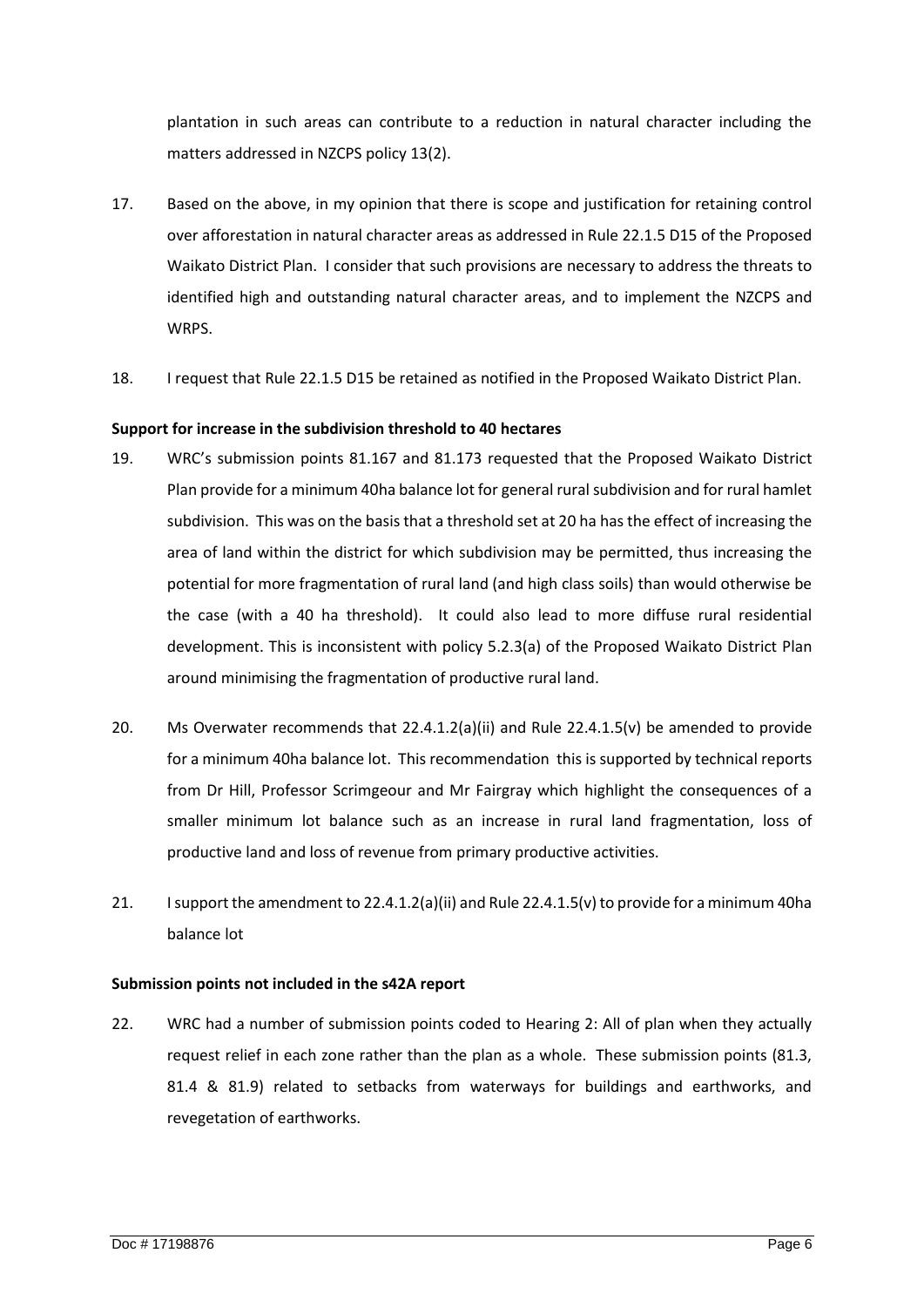plantation in such areas can contribute to a reduction in natural character including the matters addressed in NZCPS policy 13(2).

- 17. Based on the above, in my opinion that there is scope and justification for retaining control over afforestation in natural character areas as addressed in Rule 22.1.5 D15 of the Proposed Waikato District Plan. I consider that such provisions are necessary to address the threats to identified high and outstanding natural character areas, and to implement the NZCPS and WRPS.
- 18. I request that Rule 22.1.5 D15 be retained as notified in the Proposed Waikato District Plan.

## <span id="page-5-0"></span>**Support for increase in the subdivision threshold to 40 hectares**

- 19. WRC's submission points 81.167 and 81.173 requested that the Proposed Waikato District Plan provide for a minimum 40ha balance lot for general rural subdivision and for rural hamlet subdivision. This was on the basis that a threshold set at 20 ha has the effect of increasing the area of land within the district for which subdivision may be permitted, thus increasing the potential for more fragmentation of rural land (and high class soils) than would otherwise be the case (with a 40 ha threshold). It could also lead to more diffuse rural residential development. This is inconsistent with policy 5.2.3(a) of the Proposed Waikato District Plan around minimising the fragmentation of productive rural land.
- 20. Ms Overwater recommends that 22.4.1.2(a)(ii) and Rule 22.4.1.5(v) be amended to provide for a minimum 40ha balance lot. This recommendation this is supported by technical reports from Dr Hill, Professor Scrimgeour and Mr Fairgray which highlight the consequences of a smaller minimum lot balance such as an increase in rural land fragmentation, loss of productive land and loss of revenue from primary productive activities.
- 21. I support the amendment to 22.4.1.2(a)(ii) and Rule 22.4.1.5(v) to provide for a minimum 40ha balance lot

#### <span id="page-5-1"></span>**Submission points not included in the s42A report**

22. WRC had a number of submission points coded to Hearing 2: All of plan when they actually request relief in each zone rather than the plan as a whole. These submission points (81.3, 81.4 & 81.9) related to setbacks from waterways for buildings and earthworks, and revegetation of earthworks.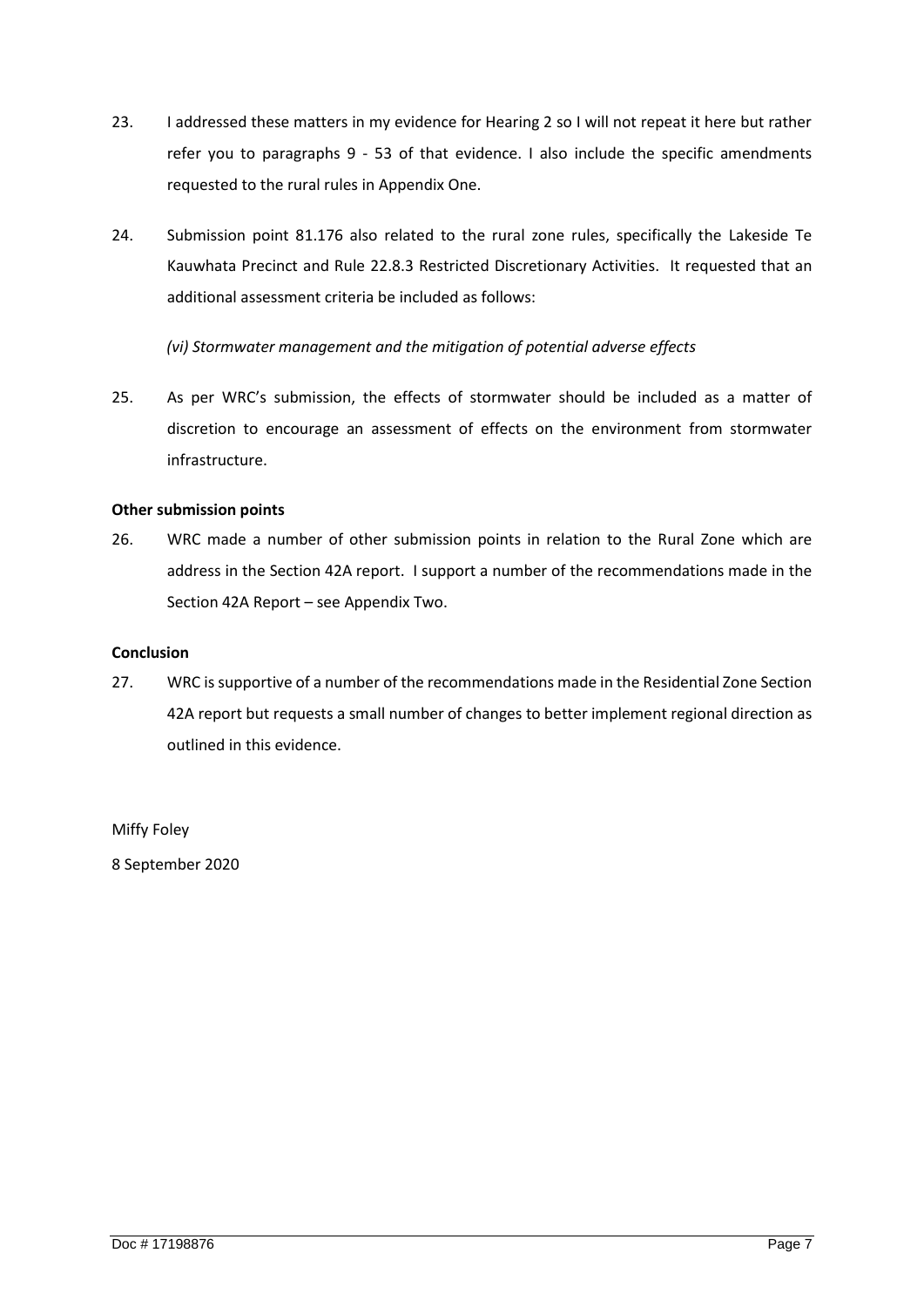- 23. I addressed these matters in my evidence for Hearing 2 so I will not repeat it here but rather refer you to paragraphs 9 - 53 of that evidence. I also include the specific amendments requested to the rural rules in Appendix One.
- 24. Submission point 81.176 also related to the rural zone rules, specifically the Lakeside Te Kauwhata Precinct and Rule 22.8.3 Restricted Discretionary Activities. It requested that an additional assessment criteria be included as follows:

*(vi) Stormwater management and the mitigation of potential adverse effects*

25. As per WRC's submission, the effects of stormwater should be included as a matter of discretion to encourage an assessment of effects on the environment from stormwater infrastructure.

## <span id="page-6-0"></span>**Other submission points**

26. WRC made a number of other submission points in relation to the Rural Zone which are address in the Section 42A report. I support a number of the recommendations made in the Section 42A Report – see Appendix Two.

#### <span id="page-6-1"></span>**Conclusion**

27. WRC is supportive of a number of the recommendations made in the Residential Zone Section 42A report but requests a small number of changes to better implement regional direction as outlined in this evidence.

Miffy Foley

8 September 2020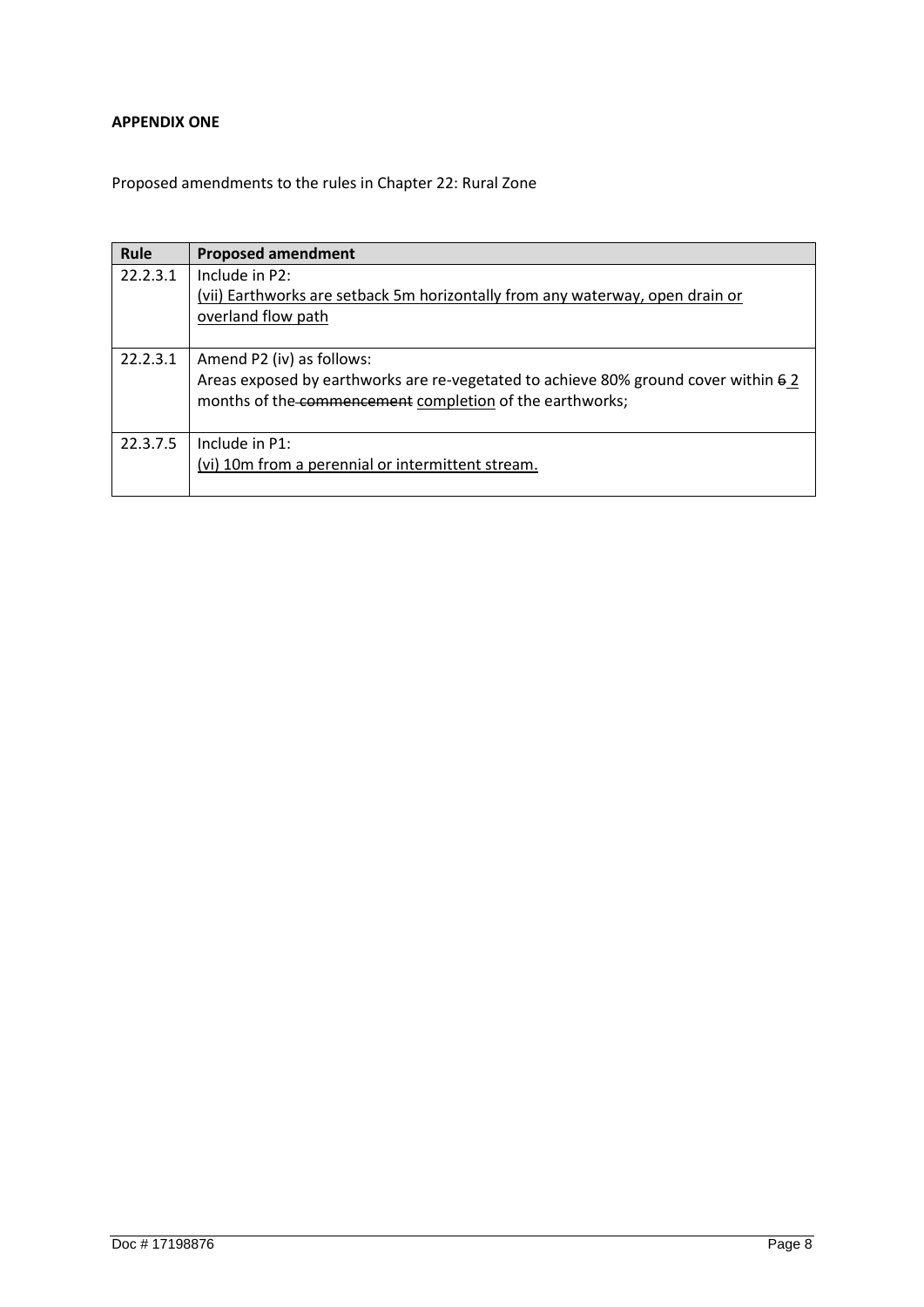## <span id="page-7-0"></span>**APPENDIX ONE**

Proposed amendments to the rules in Chapter 22: Rural Zone

| Rule     | <b>Proposed amendment</b>                                                                                                                      |
|----------|------------------------------------------------------------------------------------------------------------------------------------------------|
| 22.2.3.1 | Include in P2:                                                                                                                                 |
|          | (vii) Earthworks are setback 5m horizontally from any waterway, open drain or                                                                  |
|          | overland flow path                                                                                                                             |
|          |                                                                                                                                                |
| 22.2.3.1 | Amend P2 (iv) as follows:                                                                                                                      |
|          | Areas exposed by earthworks are re-vegetated to achieve 80% ground cover within 62<br>months of the commencement completion of the earthworks; |
| 22.3.7.5 | Include in P1:                                                                                                                                 |
|          | (vi) 10m from a perennial or intermittent stream.                                                                                              |
|          |                                                                                                                                                |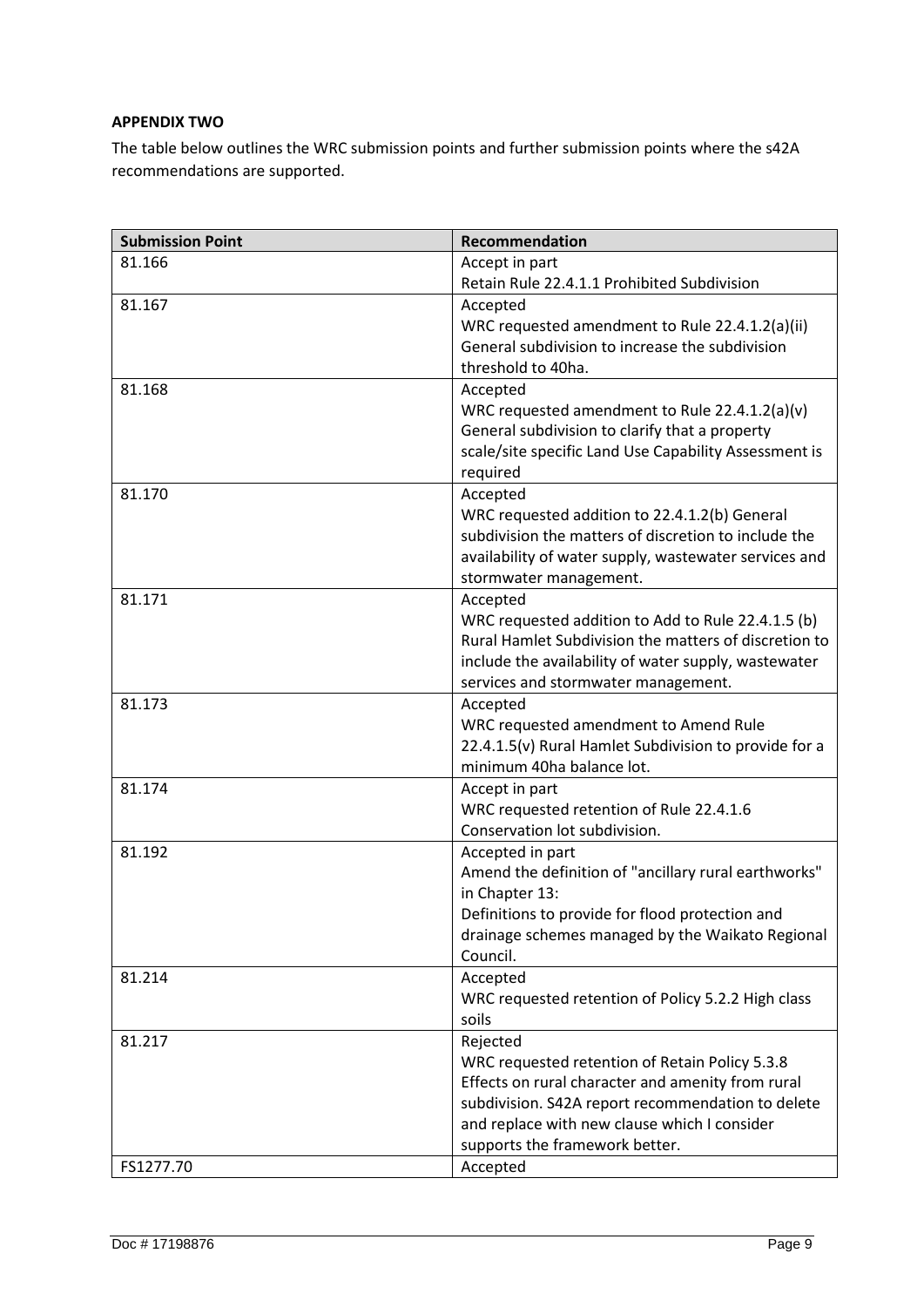## <span id="page-8-0"></span>**APPENDIX TWO**

The table below outlines the WRC submission points and further submission points where the s42A recommendations are supported.

| <b>Submission Point</b> | <b>Recommendation</b>                                                          |
|-------------------------|--------------------------------------------------------------------------------|
| 81.166                  | Accept in part                                                                 |
|                         | Retain Rule 22.4.1.1 Prohibited Subdivision                                    |
| 81.167                  | Accepted                                                                       |
|                         | WRC requested amendment to Rule 22.4.1.2(a)(ii)                                |
|                         | General subdivision to increase the subdivision                                |
|                         | threshold to 40ha.                                                             |
| 81.168                  | Accepted                                                                       |
|                         | WRC requested amendment to Rule 22.4.1.2(a)(v)                                 |
|                         | General subdivision to clarify that a property                                 |
|                         | scale/site specific Land Use Capability Assessment is                          |
|                         | required                                                                       |
| 81.170                  | Accepted                                                                       |
|                         | WRC requested addition to 22.4.1.2(b) General                                  |
|                         | subdivision the matters of discretion to include the                           |
|                         | availability of water supply, wastewater services and                          |
| 81.171                  | stormwater management.                                                         |
|                         | Accepted<br>WRC requested addition to Add to Rule 22.4.1.5 (b)                 |
|                         | Rural Hamlet Subdivision the matters of discretion to                          |
|                         | include the availability of water supply, wastewater                           |
|                         | services and stormwater management.                                            |
| 81.173                  | Accepted                                                                       |
|                         | WRC requested amendment to Amend Rule                                          |
|                         | 22.4.1.5(v) Rural Hamlet Subdivision to provide for a                          |
|                         | minimum 40ha balance lot.                                                      |
| 81.174                  | Accept in part                                                                 |
|                         | WRC requested retention of Rule 22.4.1.6                                       |
|                         | Conservation lot subdivision.                                                  |
| 81.192                  | Accepted in part                                                               |
|                         | Amend the definition of "ancillary rural earthworks"                           |
|                         | in Chapter 13:                                                                 |
|                         | Definitions to provide for flood protection and                                |
|                         | drainage schemes managed by the Waikato Regional                               |
|                         | Council.                                                                       |
| 81.214                  | Accepted                                                                       |
|                         | WRC requested retention of Policy 5.2.2 High class                             |
|                         | soils                                                                          |
| 81.217                  | Rejected                                                                       |
|                         | WRC requested retention of Retain Policy 5.3.8                                 |
|                         | Effects on rural character and amenity from rural                              |
|                         | subdivision. S42A report recommendation to delete                              |
|                         | and replace with new clause which I consider<br>supports the framework better. |
| FS1277.70               | Accepted                                                                       |
|                         |                                                                                |